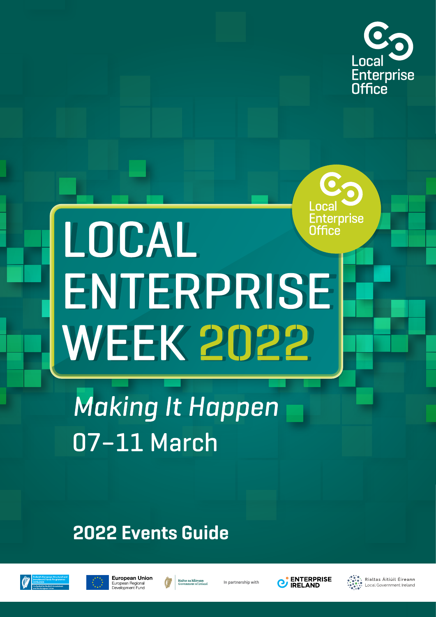

# Enterprise LOCAL Office ENTERPRISE **WEEK 2022**

**Making It Happen** 07-11 March

## **2022 Events Guide**







In partnership with



Rialtas Áitiúil Éireann Local Government Ireland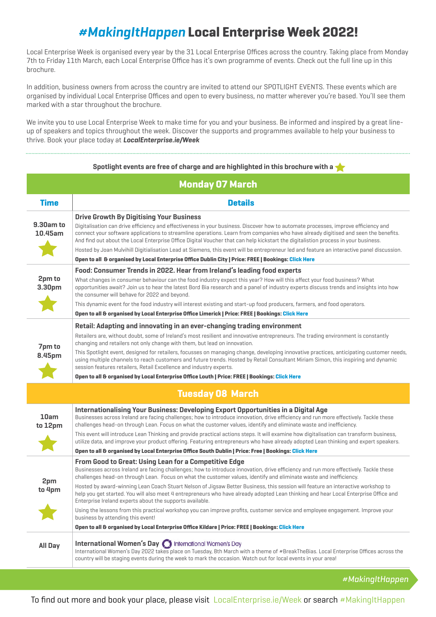#### *#MakingItHappen* **Local Enterprise Week 2022!**

Local Enterprise Week is organised every year by the 31 Local Enterprise Offices across the country. Taking place from Monday 7th to Friday 11th March, each Local Enterprise Office has it's own programme of events. Check out the full line up in this brochure.

In addition, business owners from across the country are invited to attend our SPOTLIGHT EVENTS. These events which are organised by individual Local Enterprise Offices and open to every business, no matter wherever you're based. You'll see them marked with a star throughout the brochure.

We invite you to use Local Enterprise Week to make time for you and your business. Be informed and inspired by a great lineup of speakers and topics throughout the week. Discover the supports and programmes available to help your business to thrive. Book your place today at *LocalEnterprise.ie/Week*

| Spotlight events are free of charge and are highlighted in this brochure with a $\blacklozenge$ |                                                                                                                                                                                                                                                                                                                                                                                                                                                                                                                                                                                                                                                                                                                         |  |
|-------------------------------------------------------------------------------------------------|-------------------------------------------------------------------------------------------------------------------------------------------------------------------------------------------------------------------------------------------------------------------------------------------------------------------------------------------------------------------------------------------------------------------------------------------------------------------------------------------------------------------------------------------------------------------------------------------------------------------------------------------------------------------------------------------------------------------------|--|
| <b>Monday 07 March</b>                                                                          |                                                                                                                                                                                                                                                                                                                                                                                                                                                                                                                                                                                                                                                                                                                         |  |
| <b>Time</b>                                                                                     | <b>Details</b>                                                                                                                                                                                                                                                                                                                                                                                                                                                                                                                                                                                                                                                                                                          |  |
| 9.30am to<br>10.45am                                                                            | <b>Drive Growth By Digitising Your Business</b><br>Digitalisation can drive efficiency and effectiveness in your business. Discover how to automate processes, improve efficiency and<br>connect your software applications to streamline operations. Learn from companies who have already digitised and seen the benefits.<br>And find out about the Local Enterprise Office Digital Voucher that can help kickstart the digitalistion process in your business.<br>Hosted by Joan Mulvihill Digitialisation Lead at Siemens, this event will be entrepreneur led and feature an interactive panel discussion.<br>Open to all & organised by Local Enterprise Office Dublin City   Price: FREE   Bookings: Click Here |  |
|                                                                                                 | Food: Consumer Trends in 2022. Hear from Ireland's leading food experts                                                                                                                                                                                                                                                                                                                                                                                                                                                                                                                                                                                                                                                 |  |
| 2pm to<br>3.30pm                                                                                | What changes in consumer behaviour can the food industry expect this year? How will this affect your food business? What<br>opportunities await? Join us to hear the latest Bord Bia research and a panel of industry experts discuss trends and insights into how<br>the consumer will behave for 2022 and beyond.                                                                                                                                                                                                                                                                                                                                                                                                     |  |
|                                                                                                 | This dynamic event for the food industry will interest existing and start-up food producers, farmers, and food operators.                                                                                                                                                                                                                                                                                                                                                                                                                                                                                                                                                                                               |  |
|                                                                                                 | Open to all & organised by Local Enterprise Office Limerick   Price: FREE   Bookings: Click Here                                                                                                                                                                                                                                                                                                                                                                                                                                                                                                                                                                                                                        |  |
| 7pm to<br>8.45pm                                                                                | Retail: Adapting and innovating in an ever-changing trading environment<br>Retailers are, without doubt, some of Ireland's most resilient and innovative entrepreneurs. The trading environment is constantly<br>changing and retailers not only change with them, but lead on innovation.                                                                                                                                                                                                                                                                                                                                                                                                                              |  |
|                                                                                                 | This Spotlight event, designed for retailers, focusses on managing change, developing innovative practices, anticipating customer needs,<br>using multiple channels to reach customers and future trends. Hosted by Retail Consultant Miriam Simon, this inspiring and dynamic<br>session features retailers, Retail Excellence and industry experts.                                                                                                                                                                                                                                                                                                                                                                   |  |
|                                                                                                 | Open to all & organised by Local Enterprise Office Louth   Price: FREE   Bookings: Click Here                                                                                                                                                                                                                                                                                                                                                                                                                                                                                                                                                                                                                           |  |
| <b>Tuesday 08 March</b>                                                                         |                                                                                                                                                                                                                                                                                                                                                                                                                                                                                                                                                                                                                                                                                                                         |  |
| 10am<br>to 12pm                                                                                 | Internationalising Your Business: Developing Export Opportunities in a Digital Age<br>Businesses across Ireland are facing challenges; how to introduce innovation, drive efficiency and run more effectively. Tackle these<br>challenges head-on through Lean. Focus on what the customer values, identify and eliminate waste and inefficiency.                                                                                                                                                                                                                                                                                                                                                                       |  |
|                                                                                                 | This event will introduce Lean Thinking and provide practical actions steps. It will examine how digitalisation can transform business,<br>utilize data, and improve your product offering. Featuring entrepreneurs who have already adopted Lean thinking and expert speakers.                                                                                                                                                                                                                                                                                                                                                                                                                                         |  |
|                                                                                                 | Open to all & organised by Local Enterprise Office South Dublin   Price: Free   Bookings: Click Here                                                                                                                                                                                                                                                                                                                                                                                                                                                                                                                                                                                                                    |  |
| 2pm<br>to 4pm                                                                                   | <b>From Good to Great: Using Lean for a Competitive Edge</b><br>Businesses across Ireland are facing challenges; how to introduce innovation, drive efficiency and run more effectively. Tackle these<br>challenges head-on through Lean. Focus on what the customer values, identify and eliminate waste and inefficiency.                                                                                                                                                                                                                                                                                                                                                                                             |  |
|                                                                                                 | Hosted by award-winning Lean Coach Stuart Nelson of Jigsaw Better Business, this session will feature an interactive workshop to<br>help you get started. You will also meet 4 entrepreneurs who have already adopted Lean thinking and hear Local Enterprise Office and<br>Enterprise Ireland experts about the supports available.                                                                                                                                                                                                                                                                                                                                                                                    |  |
|                                                                                                 | Using the lessons from this practical workshop you can improve profits, customer service and employee engagement. Improve your<br>business by attending this event!                                                                                                                                                                                                                                                                                                                                                                                                                                                                                                                                                     |  |
|                                                                                                 | Open to all & organised by Local Enterprise Office Kildare   Price: FREE   Bookings: Click Here                                                                                                                                                                                                                                                                                                                                                                                                                                                                                                                                                                                                                         |  |
| All Day                                                                                         | International Women's Day international Women's Day<br>International Women's Day 2022 takes place on Tuesday, 8th March with a theme of #BreakTheBias. Local Enterprise Offices across the<br>country will be staging events during the week to mark the occasion. Watch out for local events in your area!                                                                                                                                                                                                                                                                                                                                                                                                             |  |

*#MakingItHappen*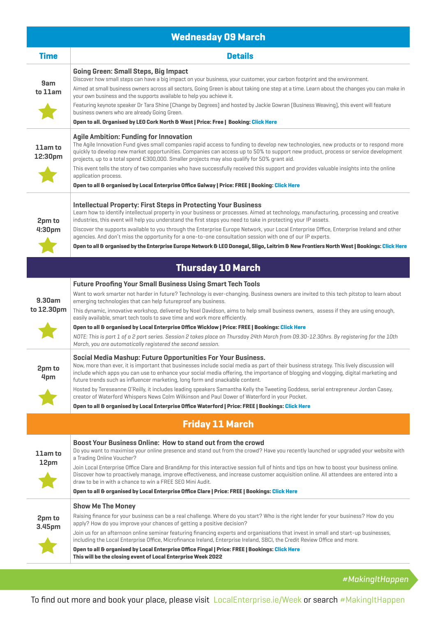| <b>Wednesday 09 March</b>           |                                                                                                                                                                                                                                                                                                                                                                                                                                                                                                                                                                                               |  |
|-------------------------------------|-----------------------------------------------------------------------------------------------------------------------------------------------------------------------------------------------------------------------------------------------------------------------------------------------------------------------------------------------------------------------------------------------------------------------------------------------------------------------------------------------------------------------------------------------------------------------------------------------|--|
| <b>Time</b>                         | <b>Details</b>                                                                                                                                                                                                                                                                                                                                                                                                                                                                                                                                                                                |  |
| 9am<br>to 11am                      | <b>Going Green: Small Steps, Big Impact</b><br>Discover how small steps can have a big impact on your business, your customer, your carbon footprint and the environment.<br>Aimed at small business owners across all sectors, Going Green is about taking one step at a time. Learn about the changes you can make in<br>your own business and the supports available to help you achieve it.                                                                                                                                                                                               |  |
|                                     | Featuring keynote speaker Dr Tara Shine (Change by Degrees) and hosted by Jackie Gowran (Business Weaving), this event will feature<br>business owners who are already Going Green.<br>Open to all. Organised by LEO Cork North & West   Price: Free   Booking: Click Here                                                                                                                                                                                                                                                                                                                    |  |
| 11am to<br>12:30pm                  | <b>Agile Ambition: Funding for Innovation</b><br>The Agile Innovation Fund gives small companies rapid access to funding to develop new technologies, new products or to respond more<br>quickly to develop new market opportunities. Companies can access up to 50% to support new product, process or service development<br>projects, up to a total spend €300,000. Smaller projects may also qualify for 50% grant aid.<br>This event tells the story of two companies who have successfully received this support and provides valuable insights into the online<br>application process. |  |
|                                     | Open to all & organised by Local Enterprise Office Galway   Price: FREE   Booking: Click Here                                                                                                                                                                                                                                                                                                                                                                                                                                                                                                 |  |
| 2pm to<br>4:30pm                    | <b>Intellectual Property: First Steps in Protecting Your Business</b><br>Learn how to identify intellectual property in your business or processes. Aimed at technology, manufacturing, processing and creative<br>industries, this event will help you understand the first steps you need to take in protecting your IP assets.<br>Discover the supports available to you through the Enterprise Europe Network, your Local Enterprise Office, Enterprise Ireland and other                                                                                                                 |  |
|                                     | agencies. And don't miss the opportunity for a one-to-one consultation session with one of our IP experts.                                                                                                                                                                                                                                                                                                                                                                                                                                                                                    |  |
|                                     | Open to all & organised by the Enterprise Europe Network & LEO Donegal, Sligo, Leitrim & New Frontiers North West   Bookings: Click Here                                                                                                                                                                                                                                                                                                                                                                                                                                                      |  |
| <b>Thursday 10 March</b>            |                                                                                                                                                                                                                                                                                                                                                                                                                                                                                                                                                                                               |  |
| 9.30am<br>to 12.30pm                | <b>Future Proofing Your Small Business Using Smart Tech Tools</b>                                                                                                                                                                                                                                                                                                                                                                                                                                                                                                                             |  |
|                                     | Want to work smarter not harder in future? Technology is ever-changing. Business owners are invited to this tech pitstop to learn about<br>emerging technologies that can help futureproof any business.                                                                                                                                                                                                                                                                                                                                                                                      |  |
|                                     | This dynamic, innovative workshop, delivered by Noel Davidson, aims to help small business owners, assess if they are using enough,<br>easily available, smart tech tools to save time and work more efficiently.                                                                                                                                                                                                                                                                                                                                                                             |  |
|                                     | Open to all & organised by Local Enterprise Office Wicklow   Price: FREE   Bookings: Click Here                                                                                                                                                                                                                                                                                                                                                                                                                                                                                               |  |
|                                     | NOTE: This is part 1 of a 2 part series. Session 2 takes place on Thursday 24th March from 09.30-12.30hrs. By registering for the 10th<br>March, you are automatically registered the second session.                                                                                                                                                                                                                                                                                                                                                                                         |  |
| 2pm to<br>4pm                       | Social Media Mashup: Future Opportunities For Your Business.<br>Now, more than ever, it is important that businesses include social media as part of their business strategy. This lively discussion will<br>include which apps you can use to enhance your social media offering, the importance of blogging and vlogging, digital marketing and<br>future trends such as influencer marketing, long form and snackable content.                                                                                                                                                             |  |
|                                     | Hosted by Tereseanne O'Reilly, it includes leading speakers Samantha Kelly the Tweeting Goddess, serial entrepreneur Jordan Casey,<br>creator of Waterford Whispers News Colm Wilkinson and Paul Dower of Waterford in your Pocket.                                                                                                                                                                                                                                                                                                                                                           |  |
|                                     | Open to all & organised by Local Enterprise Office Waterford   Price: FREE   Bookings: Click Here                                                                                                                                                                                                                                                                                                                                                                                                                                                                                             |  |
|                                     | <b>Friday 11 March</b>                                                                                                                                                                                                                                                                                                                                                                                                                                                                                                                                                                        |  |
| 11am to<br>12pm<br>2pm to<br>3.45pm | Boost Your Business Online: How to stand out from the crowd<br>Do you want to maximise your online presence and stand out from the crowd? Have you recently launched or upgraded your website with<br>a Trading Online Voucher?                                                                                                                                                                                                                                                                                                                                                               |  |
|                                     | Join Local Enterprise Office Clare and BrandAmp for this interactive session full of hints and tips on how to boost your business online.<br>Discover how to proactively manage, improve effectiveness, and increase customer acquisition online. All attendees are entered into a<br>draw to be in with a chance to win a FREE SEO Mini Audit.                                                                                                                                                                                                                                               |  |
|                                     | Open to all & organised by Local Enterprise Office Clare   Price: FREE   Bookings: Click Here                                                                                                                                                                                                                                                                                                                                                                                                                                                                                                 |  |
|                                     | <b>Show Me The Money</b><br>Raising finance for your business can be a real challenge. Where do you start? Who is the right lender for your business? How do you<br>apply? How do you improve your chances of getting a positive decision?                                                                                                                                                                                                                                                                                                                                                    |  |
|                                     | Join us for an afternoon online seminar featuring financing experts and organisations that invest in small and start-up businesses,<br>including the Local Enterprise Office, Microfinance Ireland, Enterprise Ireland, SBCI, the Credit Review Office and more.<br>Open to all & organised by Local Enterprise Office Fingal   Price: FREE   Bookings: Click Here                                                                                                                                                                                                                            |  |
|                                     | This will be the closing event of Local Enterprise Week 2022                                                                                                                                                                                                                                                                                                                                                                                                                                                                                                                                  |  |

*#MakingItHappen*